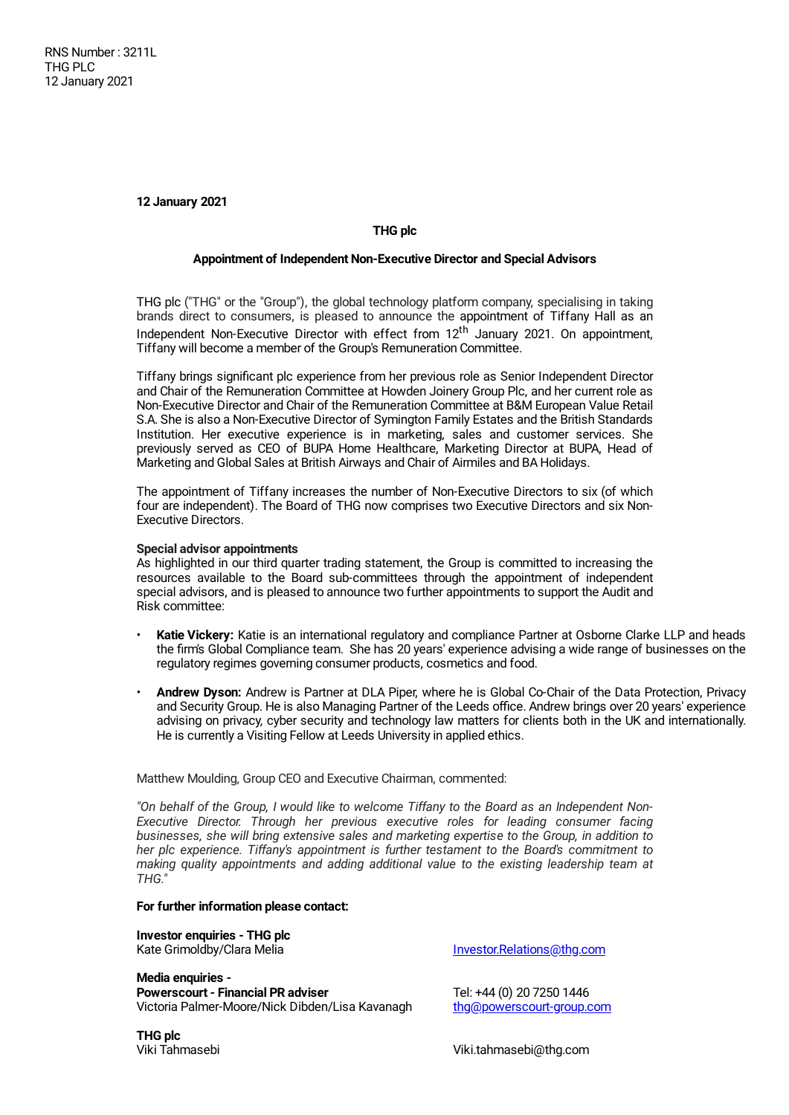**12 January 2021**

# **THG plc**

### **Appointment of Independent Non-Executive Director and Special Advisors**

THG plc ("THG" or the "Group"), the global technology platform company, specialising in taking brands direct to consumers, is pleased to announce the appointment of Tiffany Hall as an Independent Non-Executive Director with effect from 12<sup>th</sup> January 2021. On appointment, Tiffany will become a member of the Group's Remuneration Committee.

Tiffany brings significant plc experience from her previous role as Senior Independent Director and Chair of the Remuneration Committee at Howden Joinery Group Plc, and her current role as Non-Executive Director and Chair of the Remuneration Committee at B&M European Value Retail S.A. She is also a Non-Executive Director of Symington Family Estates and the British Standards Institution. Her executive experience is in marketing, sales and customer services. She previously served as CEO of BUPA Home Healthcare, Marketing Director at BUPA, Head of Marketing and Global Sales at British Airways and Chair of Airmiles and BA Holidays.

The appointment of Tiffany increases the number of Non-Executive Directors to six (of which four are independent). The Board of THG now comprises two Executive Directors and six Non-Executive Directors.

# **Special advisor appointments**

As highlighted in our third quarter trading statement, the Group is committed to increasing the resources available to the Board sub-committees through the appointment of independent special advisors, and is pleased to announce two further appointments to support the Audit and Risk committee:

- **Katie Vickery:** Katie is an international regulatory and compliance Partner at Osborne Clarke LLP and heads the firm's Global Compliance team. She has 20 years' experience advising a wide range of businesses on the regulatory regimes governing consumer products, cosmetics and food.
- **Andrew Dyson:** Andrew is Partner at DLA Piper, where he is Global Co-Chair of the Data Protection, Privacy and Security Group. He is also Managing Partner of the Leeds office. Andrew brings over 20 years' experience advising on privacy, cyber security and technology law matters for clients both in the UK and internationally. He is currently a Visiting Fellow at Leeds University in applied ethics.

Matthew Moulding, Group CEO and Executive Chairman, commented:

*"On behalf of the Group, I would like to welcome Tiffany to the Board as an Independent Non-Executive Director. Through her previous executive roles for leading consumer facing businesses, she will bring extensive sales and marketing expertise to the Group, in addition to her plc experience. Tiffany's appointment is further testament to the Board's commitment to making quality appointments and adding additional value to the existing leadership team at THG."*

#### **For further information please contact:**

**Investor enquiries - THG plc**

**Media enquiries - Powerscourt - Financial PR adviser** Tel: +44 (0) 20 7250 1446 Victoria Palmer-Moore/Nick Dibden/Lisa Kavanagh [thg@powerscourt-group.com](mailto:thg@powerscourt-group.com)

[Investor.Relations@thg.com](mailto:Investor.Relations@thg.com)

**THG plc**

Viki.tahmasebi@thg.com